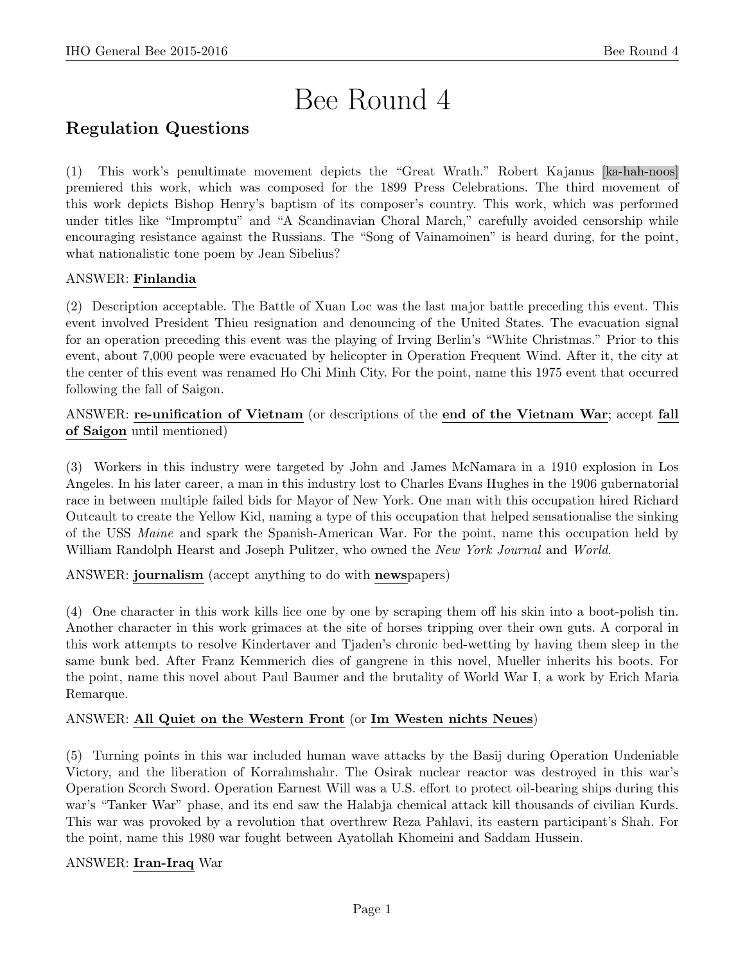# Bee Round 4

# Regulation Questions

(1) This work's penultimate movement depicts the "Great Wrath." Robert Kajanus [ka-hah-noos] premiered this work, which was composed for the 1899 Press Celebrations. The third movement of this work depicts Bishop Henry's baptism of its composer's country. This work, which was performed under titles like "Impromptu" and "A Scandinavian Choral March," carefully avoided censorship while encouraging resistance against the Russians. The "Song of Vainamoinen" is heard during, for the point, what nationalistic tone poem by Jean Sibelius?

# ANSWER: Finlandia

(2) Description acceptable. The Battle of Xuan Loc was the last major battle preceding this event. This event involved President Thieu resignation and denouncing of the United States. The evacuation signal for an operation preceding this event was the playing of Irving Berlin's "White Christmas." Prior to this event, about 7,000 people were evacuated by helicopter in Operation Frequent Wind. After it, the city at the center of this event was renamed Ho Chi Minh City. For the point, name this 1975 event that occurred following the fall of Saigon.

ANSWER: re-unification of Vietnam (or descriptions of the end of the Vietnam War; accept fall of Saigon until mentioned)

(3) Workers in this industry were targeted by John and James McNamara in a 1910 explosion in Los Angeles. In his later career, a man in this industry lost to Charles Evans Hughes in the 1906 gubernatorial race in between multiple failed bids for Mayor of New York. One man with this occupation hired Richard Outcault to create the Yellow Kid, naming a type of this occupation that helped sensationalise the sinking of the USS Maine and spark the Spanish-American War. For the point, name this occupation held by William Randolph Hearst and Joseph Pulitzer, who owned the *New York Journal* and *World.* 

ANSWER: journalism (accept anything to do with newspapers)

(4) One character in this work kills lice one by one by scraping them off his skin into a boot-polish tin. Another character in this work grimaces at the site of horses tripping over their own guts. A corporal in this work attempts to resolve Kindertaver and Tjaden's chronic bed-wetting by having them sleep in the same bunk bed. After Franz Kemmerich dies of gangrene in this novel, Mueller inherits his boots. For the point, name this novel about Paul Baumer and the brutality of World War I, a work by Erich Maria Remarque.

## ANSWER: All Quiet on the Western Front (or Im Westen nichts Neues)

(5) Turning points in this war included human wave attacks by the Basij during Operation Undeniable Victory, and the liberation of Korrahmshahr. The Osirak nuclear reactor was destroyed in this war's Operation Scorch Sword. Operation Earnest Will was a U.S. effort to protect oil-bearing ships during this war's "Tanker War" phase, and its end saw the Halabja chemical attack kill thousands of civilian Kurds. This war was provoked by a revolution that overthrew Reza Pahlavi, its eastern participant's Shah. For the point, name this 1980 war fought between Ayatollah Khomeini and Saddam Hussein.

## ANSWER: Iran-Iraq War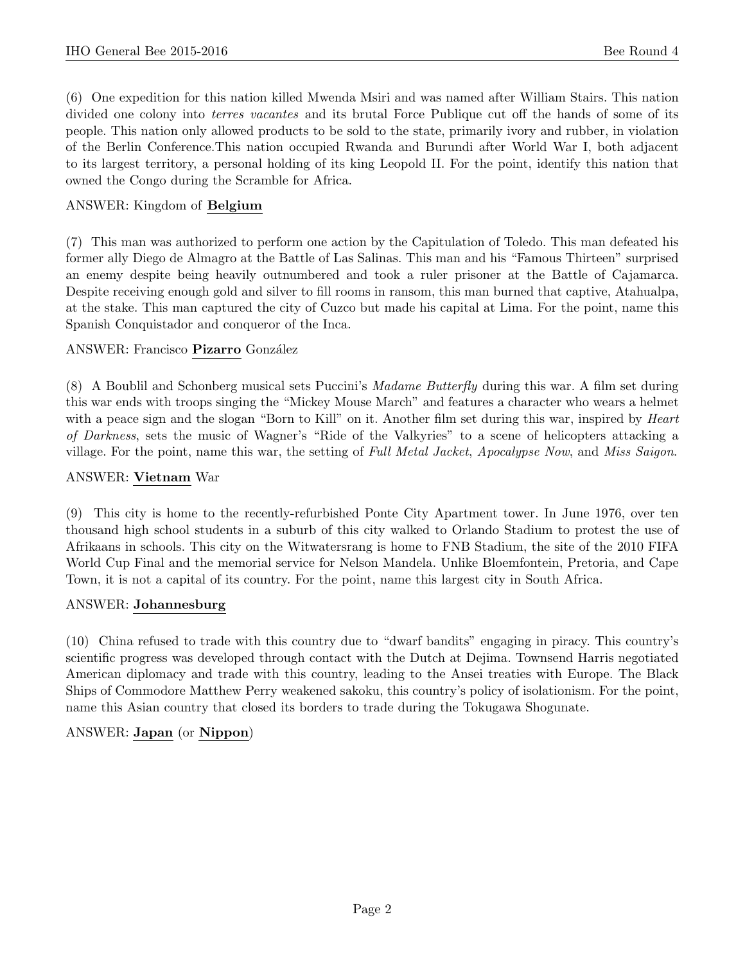(6) One expedition for this nation killed Mwenda Msiri and was named after William Stairs. This nation divided one colony into *terres vacantes* and its brutal Force Publique cut off the hands of some of its people. This nation only allowed products to be sold to the state, primarily ivory and rubber, in violation of the Berlin Conference.This nation occupied Rwanda and Burundi after World War I, both adjacent to its largest territory, a personal holding of its king Leopold II. For the point, identify this nation that owned the Congo during the Scramble for Africa.

# ANSWER: Kingdom of Belgium

(7) This man was authorized to perform one action by the Capitulation of Toledo. This man defeated his former ally Diego de Almagro at the Battle of Las Salinas. This man and his "Famous Thirteen" surprised an enemy despite being heavily outnumbered and took a ruler prisoner at the Battle of Cajamarca. Despite receiving enough gold and silver to fill rooms in ransom, this man burned that captive, Atahualpa, at the stake. This man captured the city of Cuzco but made his capital at Lima. For the point, name this Spanish Conquistador and conqueror of the Inca.

# ANSWER: Francisco Pizarro González

(8) A Boublil and Schonberg musical sets Puccini's Madame Butterfly during this war. A film set during this war ends with troops singing the "Mickey Mouse March" and features a character who wears a helmet with a peace sign and the slogan "Born to Kill" on it. Another film set during this war, inspired by *Heart* of Darkness, sets the music of Wagner's "Ride of the Valkyries" to a scene of helicopters attacking a village. For the point, name this war, the setting of Full Metal Jacket, Apocalypse Now, and Miss Saigon.

#### ANSWER: Vietnam War

(9) This city is home to the recently-refurbished Ponte City Apartment tower. In June 1976, over ten thousand high school students in a suburb of this city walked to Orlando Stadium to protest the use of Afrikaans in schools. This city on the Witwatersrang is home to FNB Stadium, the site of the 2010 FIFA World Cup Final and the memorial service for Nelson Mandela. Unlike Bloemfontein, Pretoria, and Cape Town, it is not a capital of its country. For the point, name this largest city in South Africa.

## ANSWER: Johannesburg

(10) China refused to trade with this country due to "dwarf bandits" engaging in piracy. This country's scientific progress was developed through contact with the Dutch at Dejima. Townsend Harris negotiated American diplomacy and trade with this country, leading to the Ansei treaties with Europe. The Black Ships of Commodore Matthew Perry weakened sakoku, this country's policy of isolationism. For the point, name this Asian country that closed its borders to trade during the Tokugawa Shogunate.

# ANSWER: Japan (or Nippon)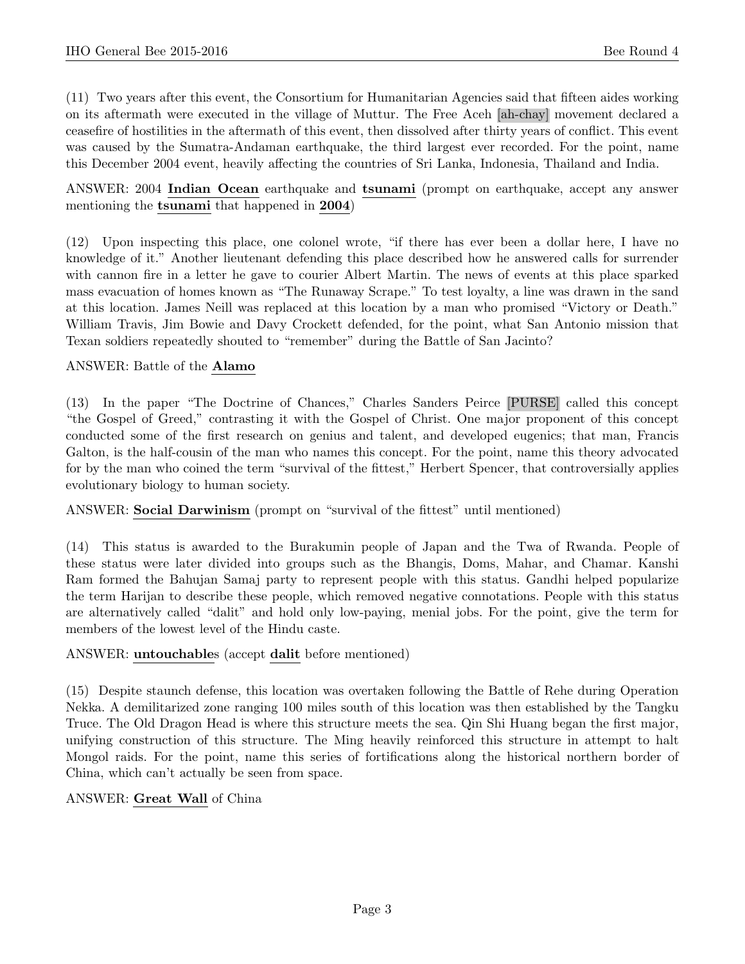(11) Two years after this event, the Consortium for Humanitarian Agencies said that fifteen aides working on its aftermath were executed in the village of Muttur. The Free Aceh [ah-chay] movement declared a ceasefire of hostilities in the aftermath of this event, then dissolved after thirty years of conflict. This event was caused by the Sumatra-Andaman earthquake, the third largest ever recorded. For the point, name this December 2004 event, heavily affecting the countries of Sri Lanka, Indonesia, Thailand and India.

## ANSWER: 2004 Indian Ocean earthquake and tsunami (prompt on earthquake, accept any answer mentioning the tsunami that happened in 2004)

(12) Upon inspecting this place, one colonel wrote, "if there has ever been a dollar here, I have no knowledge of it." Another lieutenant defending this place described how he answered calls for surrender with cannon fire in a letter he gave to courier Albert Martin. The news of events at this place sparked mass evacuation of homes known as "The Runaway Scrape." To test loyalty, a line was drawn in the sand at this location. James Neill was replaced at this location by a man who promised "Victory or Death." William Travis, Jim Bowie and Davy Crockett defended, for the point, what San Antonio mission that Texan soldiers repeatedly shouted to "remember" during the Battle of San Jacinto?

## ANSWER: Battle of the Alamo

(13) In the paper "The Doctrine of Chances," Charles Sanders Peirce [PURSE] called this concept "the Gospel of Greed," contrasting it with the Gospel of Christ. One major proponent of this concept conducted some of the first research on genius and talent, and developed eugenics; that man, Francis Galton, is the half-cousin of the man who names this concept. For the point, name this theory advocated for by the man who coined the term "survival of the fittest," Herbert Spencer, that controversially applies evolutionary biology to human society.

## ANSWER: Social Darwinism (prompt on "survival of the fittest" until mentioned)

(14) This status is awarded to the Burakumin people of Japan and the Twa of Rwanda. People of these status were later divided into groups such as the Bhangis, Doms, Mahar, and Chamar. Kanshi Ram formed the Bahujan Samaj party to represent people with this status. Gandhi helped popularize the term Harijan to describe these people, which removed negative connotations. People with this status are alternatively called "dalit" and hold only low-paying, menial jobs. For the point, give the term for members of the lowest level of the Hindu caste.

#### ANSWER: untouchables (accept dalit before mentioned)

(15) Despite staunch defense, this location was overtaken following the Battle of Rehe during Operation Nekka. A demilitarized zone ranging 100 miles south of this location was then established by the Tangku Truce. The Old Dragon Head is where this structure meets the sea. Qin Shi Huang began the first major, unifying construction of this structure. The Ming heavily reinforced this structure in attempt to halt Mongol raids. For the point, name this series of fortifications along the historical northern border of China, which can't actually be seen from space.

#### ANSWER: Great Wall of China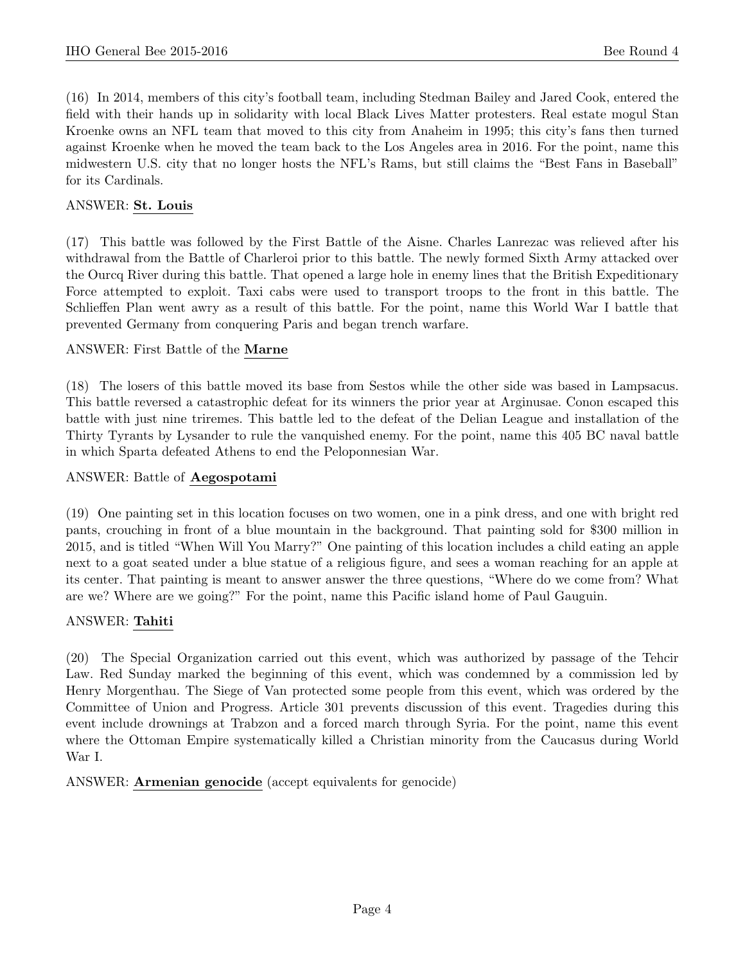(16) In 2014, members of this city's football team, including Stedman Bailey and Jared Cook, entered the field with their hands up in solidarity with local Black Lives Matter protesters. Real estate mogul Stan Kroenke owns an NFL team that moved to this city from Anaheim in 1995; this city's fans then turned against Kroenke when he moved the team back to the Los Angeles area in 2016. For the point, name this midwestern U.S. city that no longer hosts the NFL's Rams, but still claims the "Best Fans in Baseball" for its Cardinals.

## ANSWER: St. Louis

(17) This battle was followed by the First Battle of the Aisne. Charles Lanrezac was relieved after his withdrawal from the Battle of Charleroi prior to this battle. The newly formed Sixth Army attacked over the Ourcq River during this battle. That opened a large hole in enemy lines that the British Expeditionary Force attempted to exploit. Taxi cabs were used to transport troops to the front in this battle. The Schlieffen Plan went awry as a result of this battle. For the point, name this World War I battle that prevented Germany from conquering Paris and began trench warfare.

#### ANSWER: First Battle of the Marne

(18) The losers of this battle moved its base from Sestos while the other side was based in Lampsacus. This battle reversed a catastrophic defeat for its winners the prior year at Arginusae. Conon escaped this battle with just nine triremes. This battle led to the defeat of the Delian League and installation of the Thirty Tyrants by Lysander to rule the vanquished enemy. For the point, name this 405 BC naval battle in which Sparta defeated Athens to end the Peloponnesian War.

#### ANSWER: Battle of Aegospotami

(19) One painting set in this location focuses on two women, one in a pink dress, and one with bright red pants, crouching in front of a blue mountain in the background. That painting sold for \$300 million in 2015, and is titled "When Will You Marry?" One painting of this location includes a child eating an apple next to a goat seated under a blue statue of a religious figure, and sees a woman reaching for an apple at its center. That painting is meant to answer answer the three questions, "Where do we come from? What are we? Where are we going?" For the point, name this Pacific island home of Paul Gauguin.

#### ANSWER: Tahiti

(20) The Special Organization carried out this event, which was authorized by passage of the Tehcir Law. Red Sunday marked the beginning of this event, which was condemned by a commission led by Henry Morgenthau. The Siege of Van protected some people from this event, which was ordered by the Committee of Union and Progress. Article 301 prevents discussion of this event. Tragedies during this event include drownings at Trabzon and a forced march through Syria. For the point, name this event where the Ottoman Empire systematically killed a Christian minority from the Caucasus during World War I.

ANSWER: Armenian genocide (accept equivalents for genocide)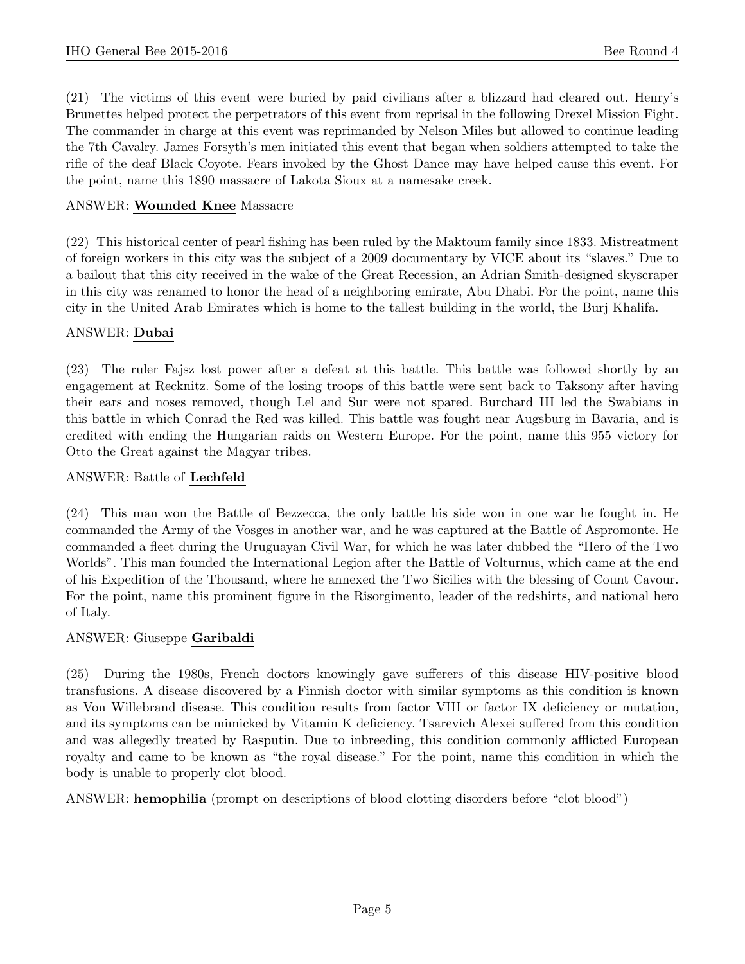(21) The victims of this event were buried by paid civilians after a blizzard had cleared out. Henry's Brunettes helped protect the perpetrators of this event from reprisal in the following Drexel Mission Fight. The commander in charge at this event was reprimanded by Nelson Miles but allowed to continue leading the 7th Cavalry. James Forsyth's men initiated this event that began when soldiers attempted to take the rifle of the deaf Black Coyote. Fears invoked by the Ghost Dance may have helped cause this event. For the point, name this 1890 massacre of Lakota Sioux at a namesake creek.

# ANSWER: Wounded Knee Massacre

(22) This historical center of pearl fishing has been ruled by the Maktoum family since 1833. Mistreatment of foreign workers in this city was the subject of a 2009 documentary by VICE about its "slaves." Due to a bailout that this city received in the wake of the Great Recession, an Adrian Smith-designed skyscraper in this city was renamed to honor the head of a neighboring emirate, Abu Dhabi. For the point, name this city in the United Arab Emirates which is home to the tallest building in the world, the Burj Khalifa.

## ANSWER: Dubai

(23) The ruler Fajsz lost power after a defeat at this battle. This battle was followed shortly by an engagement at Recknitz. Some of the losing troops of this battle were sent back to Taksony after having their ears and noses removed, though Lel and Sur were not spared. Burchard III led the Swabians in this battle in which Conrad the Red was killed. This battle was fought near Augsburg in Bavaria, and is credited with ending the Hungarian raids on Western Europe. For the point, name this 955 victory for Otto the Great against the Magyar tribes.

# ANSWER: Battle of Lechfeld

(24) This man won the Battle of Bezzecca, the only battle his side won in one war he fought in. He commanded the Army of the Vosges in another war, and he was captured at the Battle of Aspromonte. He commanded a fleet during the Uruguayan Civil War, for which he was later dubbed the "Hero of the Two Worlds". This man founded the International Legion after the Battle of Volturnus, which came at the end of his Expedition of the Thousand, where he annexed the Two Sicilies with the blessing of Count Cavour. For the point, name this prominent figure in the Risorgimento, leader of the redshirts, and national hero of Italy.

## ANSWER: Giuseppe Garibaldi

(25) During the 1980s, French doctors knowingly gave sufferers of this disease HIV-positive blood transfusions. A disease discovered by a Finnish doctor with similar symptoms as this condition is known as Von Willebrand disease. This condition results from factor VIII or factor IX deficiency or mutation, and its symptoms can be mimicked by Vitamin K deficiency. Tsarevich Alexei suffered from this condition and was allegedly treated by Rasputin. Due to inbreeding, this condition commonly afflicted European royalty and came to be known as "the royal disease." For the point, name this condition in which the body is unable to properly clot blood.

ANSWER: hemophilia (prompt on descriptions of blood clotting disorders before "clot blood")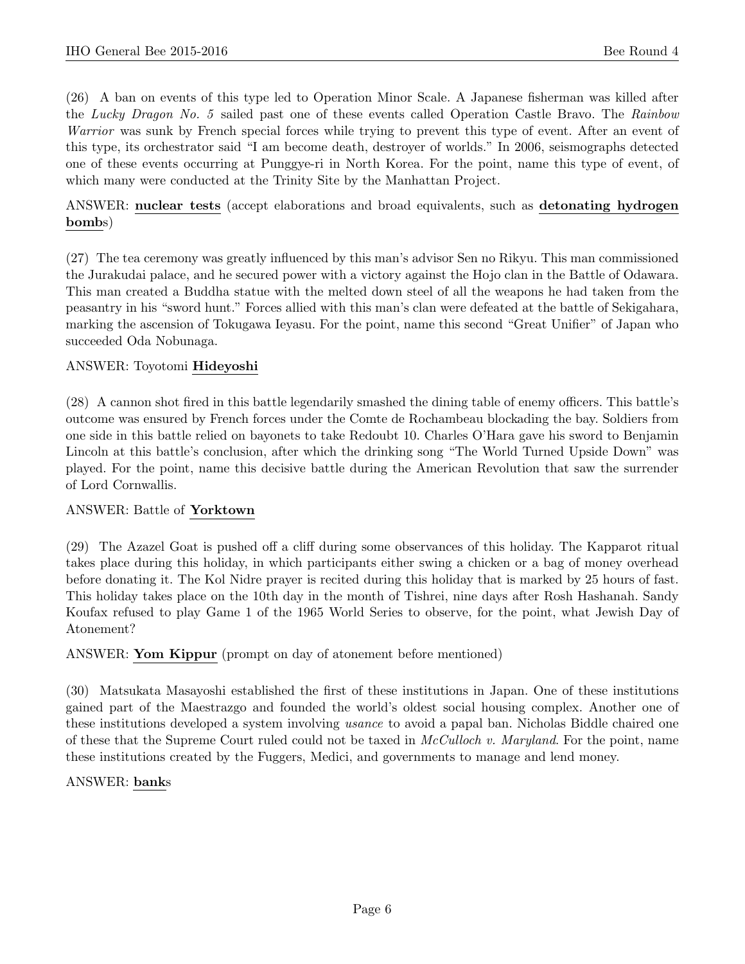(26) A ban on events of this type led to Operation Minor Scale. A Japanese fisherman was killed after the Lucky Dragon No. 5 sailed past one of these events called Operation Castle Bravo. The Rainbow Warrior was sunk by French special forces while trying to prevent this type of event. After an event of this type, its orchestrator said "I am become death, destroyer of worlds." In 2006, seismographs detected one of these events occurring at Punggye-ri in North Korea. For the point, name this type of event, of which many were conducted at the Trinity Site by the Manhattan Project.

ANSWER: nuclear tests (accept elaborations and broad equivalents, such as detonating hydrogen bombs)

(27) The tea ceremony was greatly influenced by this man's advisor Sen no Rikyu. This man commissioned the Jurakudai palace, and he secured power with a victory against the Hojo clan in the Battle of Odawara. This man created a Buddha statue with the melted down steel of all the weapons he had taken from the peasantry in his "sword hunt." Forces allied with this man's clan were defeated at the battle of Sekigahara, marking the ascension of Tokugawa Ieyasu. For the point, name this second "Great Unifier" of Japan who succeeded Oda Nobunaga.

## ANSWER: Toyotomi Hideyoshi

(28) A cannon shot fired in this battle legendarily smashed the dining table of enemy officers. This battle's outcome was ensured by French forces under the Comte de Rochambeau blockading the bay. Soldiers from one side in this battle relied on bayonets to take Redoubt 10. Charles O'Hara gave his sword to Benjamin Lincoln at this battle's conclusion, after which the drinking song "The World Turned Upside Down" was played. For the point, name this decisive battle during the American Revolution that saw the surrender of Lord Cornwallis.

#### ANSWER: Battle of Yorktown

(29) The Azazel Goat is pushed off a cliff during some observances of this holiday. The Kapparot ritual takes place during this holiday, in which participants either swing a chicken or a bag of money overhead before donating it. The Kol Nidre prayer is recited during this holiday that is marked by 25 hours of fast. This holiday takes place on the 10th day in the month of Tishrei, nine days after Rosh Hashanah. Sandy Koufax refused to play Game 1 of the 1965 World Series to observe, for the point, what Jewish Day of Atonement?

#### ANSWER: Yom Kippur (prompt on day of atonement before mentioned)

(30) Matsukata Masayoshi established the first of these institutions in Japan. One of these institutions gained part of the Maestrazgo and founded the world's oldest social housing complex. Another one of these institutions developed a system involving usance to avoid a papal ban. Nicholas Biddle chaired one of these that the Supreme Court ruled could not be taxed in McCulloch v. Maryland. For the point, name these institutions created by the Fuggers, Medici, and governments to manage and lend money.

#### ANSWER: banks